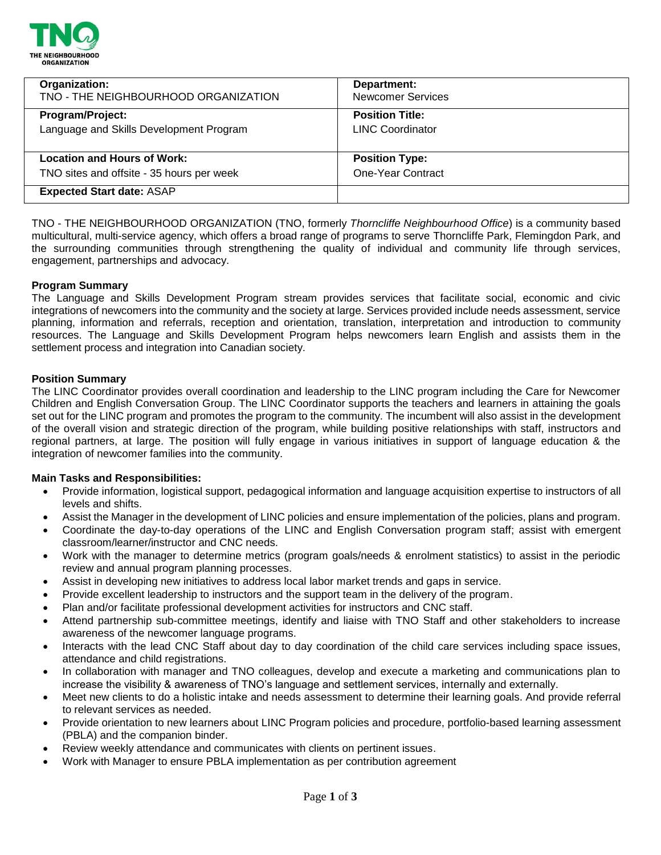

| Organization:                             | Department:              |
|-------------------------------------------|--------------------------|
| TNO - THE NEIGHBOURHOOD ORGANIZATION      | <b>Newcomer Services</b> |
| <b>Program/Project:</b>                   | <b>Position Title:</b>   |
| Language and Skills Development Program   | <b>LINC Coordinator</b>  |
| <b>Location and Hours of Work:</b>        | <b>Position Type:</b>    |
| TNO sites and offsite - 35 hours per week | <b>One-Year Contract</b> |
| <b>Expected Start date: ASAP</b>          |                          |

TNO - THE NEIGHBOURHOOD ORGANIZATION (TNO, formerly *Thorncliffe Neighbourhood Office*) is a community based multicultural, multi-service agency, which offers a broad range of programs to serve Thorncliffe Park, Flemingdon Park, and the surrounding communities through strengthening the quality of individual and community life through services, engagement, partnerships and advocacy.

## **Program Summary**

The Language and Skills Development Program stream provides services that facilitate social, economic and civic integrations of newcomers into the community and the society at large. Services provided include needs assessment, service planning, information and referrals, reception and orientation, translation, interpretation and introduction to community resources. The Language and Skills Development Program helps newcomers learn English and assists them in the settlement process and integration into Canadian society.

### **Position Summary**

The LINC Coordinator provides overall coordination and leadership to the LINC program including the Care for Newcomer Children and English Conversation Group. The LINC Coordinator supports the teachers and learners in attaining the goals set out for the LINC program and promotes the program to the community. The incumbent will also assist in the development of the overall vision and strategic direction of the program, while building positive relationships with staff, instructors and regional partners, at large. The position will fully engage in various initiatives in support of language education & the integration of newcomer families into the community.

### **Main Tasks and Responsibilities:**

- Provide information, logistical support, pedagogical information and language acquisition expertise to instructors of all levels and shifts.
- Assist the Manager in the development of LINC policies and ensure implementation of the policies, plans and program.
- Coordinate the day-to-day operations of the LINC and English Conversation program staff; assist with emergent classroom/learner/instructor and CNC needs.
- Work with the manager to determine metrics (program goals/needs & enrolment statistics) to assist in the periodic review and annual program planning processes.
- Assist in developing new initiatives to address local labor market trends and gaps in service.
- Provide excellent leadership to instructors and the support team in the delivery of the program.
- Plan and/or facilitate professional development activities for instructors and CNC staff.
- Attend partnership sub-committee meetings, identify and liaise with TNO Staff and other stakeholders to increase awareness of the newcomer language programs.
- Interacts with the lead CNC Staff about day to day coordination of the child care services including space issues, attendance and child registrations.
- In collaboration with manager and TNO colleagues, develop and execute a marketing and communications plan to increase the visibility & awareness of TNO's language and settlement services, internally and externally.
- Meet new clients to do a holistic intake and needs assessment to determine their learning goals. And provide referral to relevant services as needed.
- Provide orientation to new learners about LINC Program policies and procedure, portfolio-based learning assessment (PBLA) and the companion binder.
- Review weekly attendance and communicates with clients on pertinent issues.
- Work with Manager to ensure PBLA implementation as per contribution agreement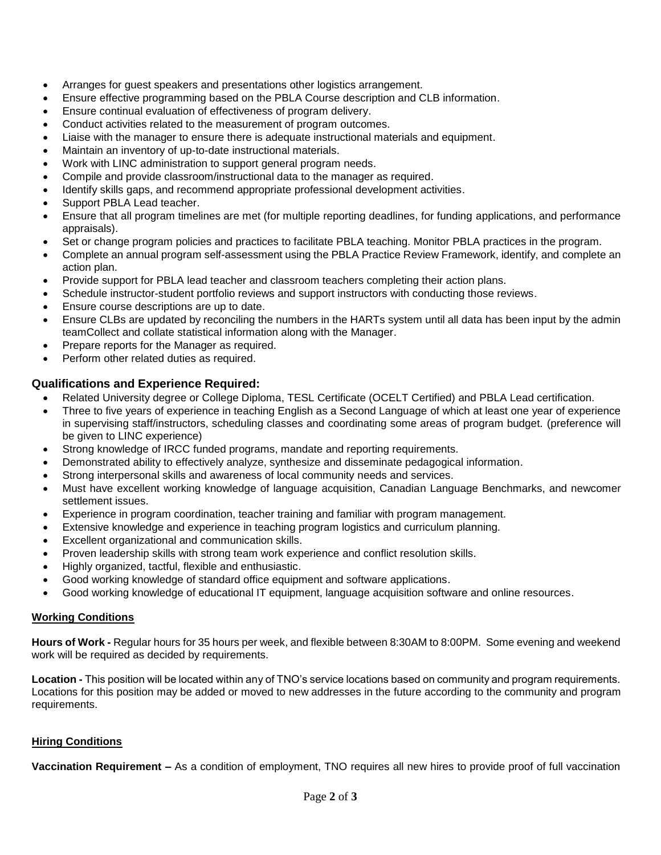- Arranges for guest speakers and presentations other logistics arrangement.
- Ensure effective programming based on the PBLA Course description and CLB information.
- Ensure continual evaluation of effectiveness of program delivery.
- Conduct activities related to the measurement of program outcomes.
- Liaise with the manager to ensure there is adequate instructional materials and equipment.
- Maintain an inventory of up-to-date instructional materials.
- Work with LINC administration to support general program needs.
- Compile and provide classroom/instructional data to the manager as required.
- Identify skills gaps, and recommend appropriate professional development activities.
- Support PBLA Lead teacher.
- Ensure that all program timelines are met (for multiple reporting deadlines, for funding applications, and performance appraisals).
- Set or change program policies and practices to facilitate PBLA teaching. Monitor PBLA practices in the program.
- Complete an annual program self-assessment using the PBLA Practice Review Framework, identify, and complete an action plan.
- Provide support for PBLA lead teacher and classroom teachers completing their action plans.
- Schedule instructor-student portfolio reviews and support instructors with conducting those reviews.
- Ensure course descriptions are up to date.
- Ensure CLBs are updated by reconciling the numbers in the HARTs system until all data has been input by the admin teamCollect and collate statistical information along with the Manager.
- Prepare reports for the Manager as required.
- Perform other related duties as required.

# **Qualifications and Experience Required:**

- Related University degree or College Diploma, TESL Certificate (OCELT Certified) and PBLA Lead certification.
- Three to five years of experience in teaching English as a Second Language of which at least one year of experience in supervising staff/instructors, scheduling classes and coordinating some areas of program budget. (preference will be given to LINC experience)
- Strong knowledge of IRCC funded programs, mandate and reporting requirements.
- Demonstrated ability to effectively analyze, synthesize and disseminate pedagogical information.
- Strong interpersonal skills and awareness of local community needs and services.
- Must have excellent working knowledge of language acquisition, Canadian Language Benchmarks, and newcomer settlement issues.
- Experience in program coordination, teacher training and familiar with program management.
- Extensive knowledge and experience in teaching program logistics and curriculum planning.
- Excellent organizational and communication skills.
- Proven leadership skills with strong team work experience and conflict resolution skills.
- Highly organized, tactful, flexible and enthusiastic.
- Good working knowledge of standard office equipment and software applications.
- Good working knowledge of educational IT equipment, language acquisition software and online resources.

# **Working Conditions**

**Hours of Work -** Regular hours for 35 hours per week, and flexible between 8:30AM to 8:00PM. Some evening and weekend work will be required as decided by requirements.

**Location -** This position will be located within any of TNO's service locations based on community and program requirements. Locations for this position may be added or moved to new addresses in the future according to the community and program requirements.

# **Hiring Conditions**

**Vaccination Requirement –** As a condition of employment, TNO requires all new hires to provide proof of full vaccination